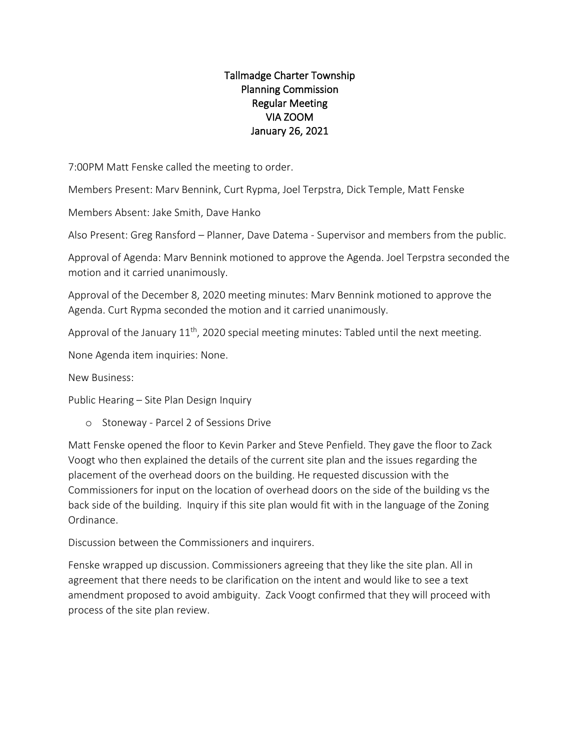## Tallmadge Charter Township Planning Commission Regular Meeting VIA ZOOM January 26, 2021

7:00PM Matt Fenske called the meeting to order.

Members Present: Marv Bennink, Curt Rypma, Joel Terpstra, Dick Temple, Matt Fenske

Members Absent: Jake Smith, Dave Hanko

Also Present: Greg Ransford – Planner, Dave Datema - Supervisor and members from the public.

Approval of Agenda: Marv Bennink motioned to approve the Agenda. Joel Terpstra seconded the motion and it carried unanimously.

Approval of the December 8, 2020 meeting minutes: Marv Bennink motioned to approve the Agenda. Curt Rypma seconded the motion and it carried unanimously.

Approval of the January  $11<sup>th</sup>$ , 2020 special meeting minutes: Tabled until the next meeting.

None Agenda item inquiries: None.

New Business:

Public Hearing – Site Plan Design Inquiry

o Stoneway - Parcel 2 of Sessions Drive

Matt Fenske opened the floor to Kevin Parker and Steve Penfield. They gave the floor to Zack Voogt who then explained the details of the current site plan and the issues regarding the placement of the overhead doors on the building. He requested discussion with the Commissioners for input on the location of overhead doors on the side of the building vs the back side of the building. Inquiry if this site plan would fit with in the language of the Zoning Ordinance.

Discussion between the Commissioners and inquirers.

Fenske wrapped up discussion. Commissioners agreeing that they like the site plan. All in agreement that there needs to be clarification on the intent and would like to see a text amendment proposed to avoid ambiguity. Zack Voogt confirmed that they will proceed with process of the site plan review.